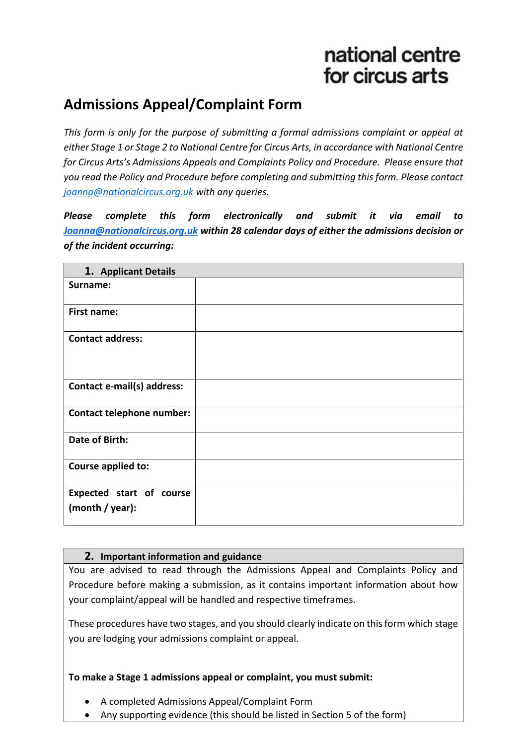# national centre for circus arts

# **Admissions Appeal/Complaint Form**

*This form is only for the purpose of submitting a formal admissions complaint or appeal at either Stage 1 or Stage 2 to National Centre for Circus Arts, in accordance with National Centre for Circus Arts's Admissions Appeals and Complaints Policy and Procedure. Please ensure that you read the Policy and Procedure before completing and submitting this form. Please contact [joanna@nationalcircus.org.uk](mailto:joanna@nationalcircus.org.uk) with any queries.*

*Please complete this form electronically and submit it via email to [Joanna@nationalcircus.org.uk](mailto:Joanna@nationalcircus.org.uk) within 28 calendar days of either the admissions decision or of the incident occurring:*

| 1. Applicant Details                        |  |  |
|---------------------------------------------|--|--|
| Surname:                                    |  |  |
| First name:                                 |  |  |
| <b>Contact address:</b>                     |  |  |
| Contact e-mail(s) address:                  |  |  |
| Contact telephone number:                   |  |  |
| Date of Birth:                              |  |  |
| Course applied to:                          |  |  |
| Expected start of course<br>(month / year): |  |  |

### **2. Important information and guidance**

You are advised to read through the Admissions Appeal and Complaints Policy and Procedure before making a submission, as it contains important information about how your complaint/appeal will be handled and respective timeframes.

These procedures have two stages, and you should clearly indicate on this form which stage you are lodging your admissions complaint or appeal.

### **To make a Stage 1 admissions appeal or complaint, you must submit:**

- A completed Admissions Appeal/Complaint Form
- Any supporting evidence (this should be listed in Section 5 of the form)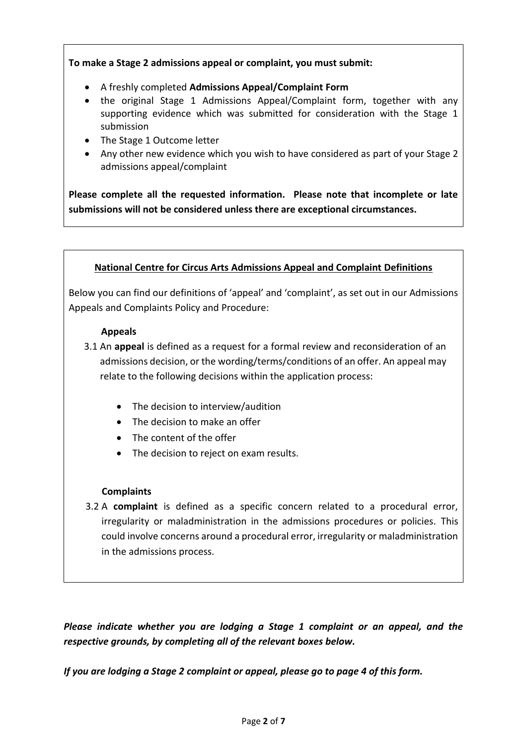**To make a Stage 2 admissions appeal or complaint, you must submit:**

- A freshly completed **Admissions Appeal/Complaint Form**
- the original Stage 1 Admissions Appeal/Complaint form, together with any supporting evidence which was submitted for consideration with the Stage 1 submission
- The Stage 1 Outcome letter
- Any other new evidence which you wish to have considered as part of your Stage 2 admissions appeal/complaint

**Please complete all the requested information. Please note that incomplete or late submissions will not be considered unless there are exceptional circumstances.**

# **National Centre for Circus Arts Admissions Appeal and Complaint Definitions**

Below you can find our definitions of 'appeal' and 'complaint', as set out in our Admissions Appeals and Complaints Policy and Procedure:

#### **Appeals**

- 3.1 An **appeal** is defined as a request for a formal review and reconsideration of an admissions decision, or the wording/terms/conditions of an offer. An appeal may relate to the following decisions within the application process:
	- The decision to interview/audition
	- The decision to make an offer
	- The content of the offer
	- The decision to reject on exam results.

### **Complaints**

3.2 A **complaint** is defined as a specific concern related to a procedural error, irregularity or maladministration in the admissions procedures or policies. This could involve concerns around a procedural error, irregularity or maladministration in the admissions process.

*Please indicate whether you are lodging a Stage 1 complaint or an appeal, and the respective grounds, by completing all of the relevant boxes below.* 

*If you are lodging a Stage 2 complaint or appeal, please go to page 4 of this form.*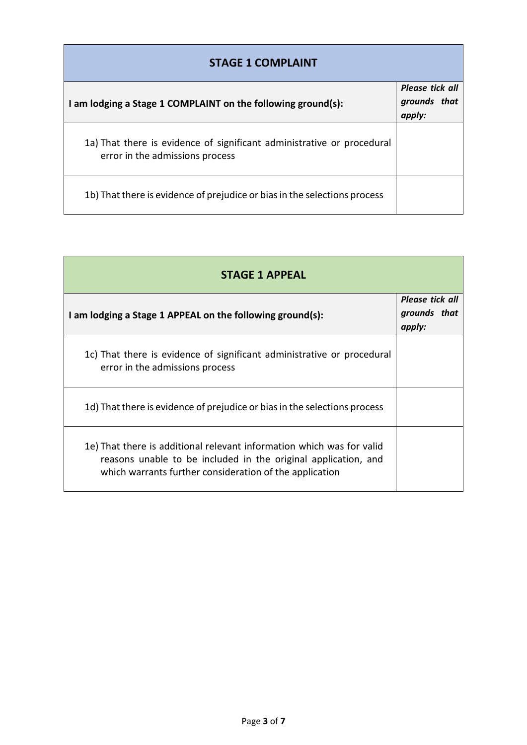| <b>STAGE 1 COMPLAINT</b>                                                                                  |                                           |  |
|-----------------------------------------------------------------------------------------------------------|-------------------------------------------|--|
| I am lodging a Stage 1 COMPLAINT on the following ground(s):                                              | Please tick all<br>grounds that<br>apply: |  |
| 1a) That there is evidence of significant administrative or procedural<br>error in the admissions process |                                           |  |
| 1b) That there is evidence of prejudice or bias in the selections process                                 |                                           |  |

| <b>STAGE 1 APPEAL</b>                                                                                                                                                                              |                                           |
|----------------------------------------------------------------------------------------------------------------------------------------------------------------------------------------------------|-------------------------------------------|
| I am lodging a Stage 1 APPEAL on the following ground(s):                                                                                                                                          | Please tick all<br>grounds that<br>apply: |
| 1c) That there is evidence of significant administrative or procedural<br>error in the admissions process                                                                                          |                                           |
| 1d) That there is evidence of prejudice or bias in the selections process                                                                                                                          |                                           |
| 1e) That there is additional relevant information which was for valid<br>reasons unable to be included in the original application, and<br>which warrants further consideration of the application |                                           |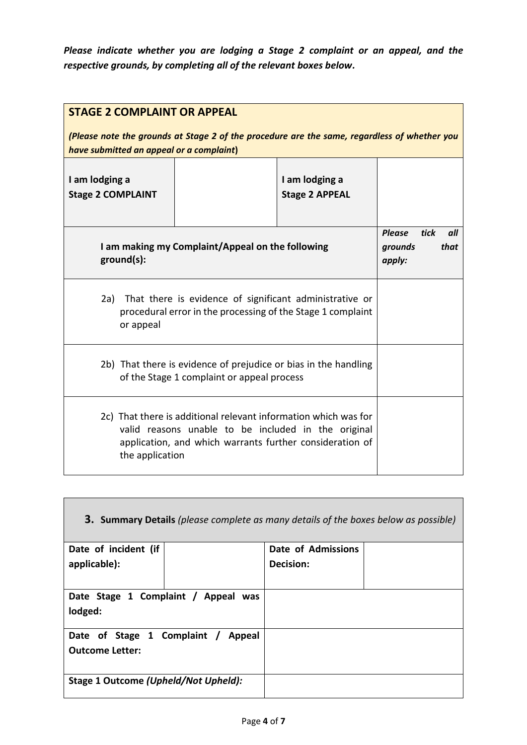*Please indicate whether you are lodging a Stage 2 complaint or an appeal, and the respective grounds, by completing all of the relevant boxes below.*

| <b>STAGE 2 COMPLAINT OR APPEAL</b><br>(Please note the grounds at Stage 2 of the procedure are the same, regardless of whether you<br>have submitted an appeal or a complaint)                        |                                         |                                                           |  |
|-------------------------------------------------------------------------------------------------------------------------------------------------------------------------------------------------------|-----------------------------------------|-----------------------------------------------------------|--|
| I am lodging a<br><b>Stage 2 COMPLAINT</b>                                                                                                                                                            | I am lodging a<br><b>Stage 2 APPEAL</b> |                                                           |  |
| I am making my Complaint/Appeal on the following<br>ground(s):                                                                                                                                        |                                         | <b>Please</b><br>tick<br>all<br>that<br>grounds<br>apply: |  |
| 2a) That there is evidence of significant administrative or<br>procedural error in the processing of the Stage 1 complaint<br>or appeal                                                               |                                         |                                                           |  |
| 2b) That there is evidence of prejudice or bias in the handling<br>of the Stage 1 complaint or appeal process                                                                                         |                                         |                                                           |  |
| 2c) That there is additional relevant information which was for<br>valid reasons unable to be included in the original<br>application, and which warrants further consideration of<br>the application |                                         |                                                           |  |

| <b>3. Summary Details</b> (please complete as many details of the boxes below as possible) |  |                    |  |
|--------------------------------------------------------------------------------------------|--|--------------------|--|
| Date of incident (if                                                                       |  | Date of Admissions |  |
| applicable):                                                                               |  | Decision:          |  |
|                                                                                            |  |                    |  |
| Date Stage 1 Complaint / Appeal was                                                        |  |                    |  |
| lodged:                                                                                    |  |                    |  |
| Date of Stage 1 Complaint /<br>Appeal                                                      |  |                    |  |
| <b>Outcome Letter:</b>                                                                     |  |                    |  |
| Stage 1 Outcome (Upheld/Not Upheld):                                                       |  |                    |  |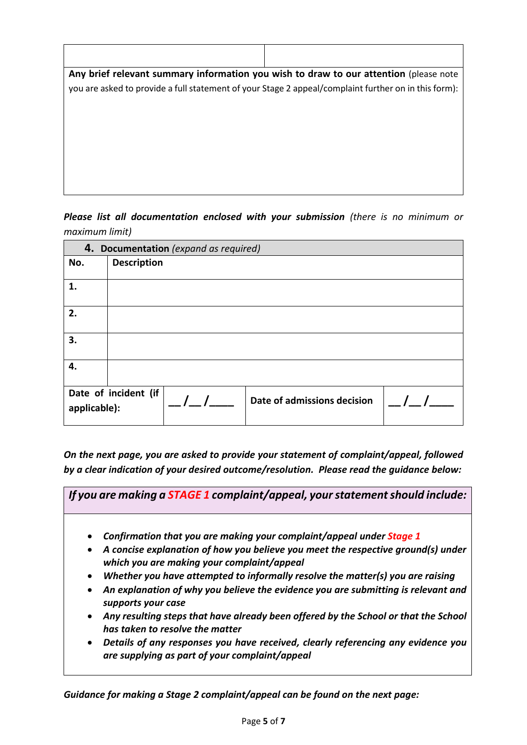| Any brief relevant summary information you wish to draw to our attention (please note                |  |  |
|------------------------------------------------------------------------------------------------------|--|--|
| you are asked to provide a full statement of your Stage 2 appeal/complaint further on in this form): |  |  |
|                                                                                                      |  |  |
|                                                                                                      |  |  |
|                                                                                                      |  |  |
|                                                                                                      |  |  |
|                                                                                                      |  |  |
|                                                                                                      |  |  |
|                                                                                                      |  |  |

*Please list all documentation enclosed with your submission (there is no minimum or maximum limit)*

| 4. Documentation (expand as required) |                      |  |                             |  |
|---------------------------------------|----------------------|--|-----------------------------|--|
| No.                                   | <b>Description</b>   |  |                             |  |
| 1.                                    |                      |  |                             |  |
| 2.                                    |                      |  |                             |  |
| 3.                                    |                      |  |                             |  |
| 4.                                    |                      |  |                             |  |
| applicable):                          | Date of incident (if |  | Date of admissions decision |  |

*On the next page, you are asked to provide your statement of complaint/appeal, followed by a clear indication of your desired outcome/resolution. Please read the guidance below:*

*If you are making a STAGE 1 complaint/appeal, your statement should include:*

- *Confirmation that you are making your complaint/appeal under Stage 1*
- *A concise explanation of how you believe you meet the respective ground(s) under which you are making your complaint/appeal*
- *Whether you have attempted to informally resolve the matter(s) you are raising*
- *An explanation of why you believe the evidence you are submitting is relevant and supports your case*
- *Any resulting steps that have already been offered by the School or that the School has taken to resolve the matter*
- *Details of any responses you have received, clearly referencing any evidence you are supplying as part of your complaint/appeal*

*Guidance for making a Stage 2 complaint/appeal can be found on the next page:*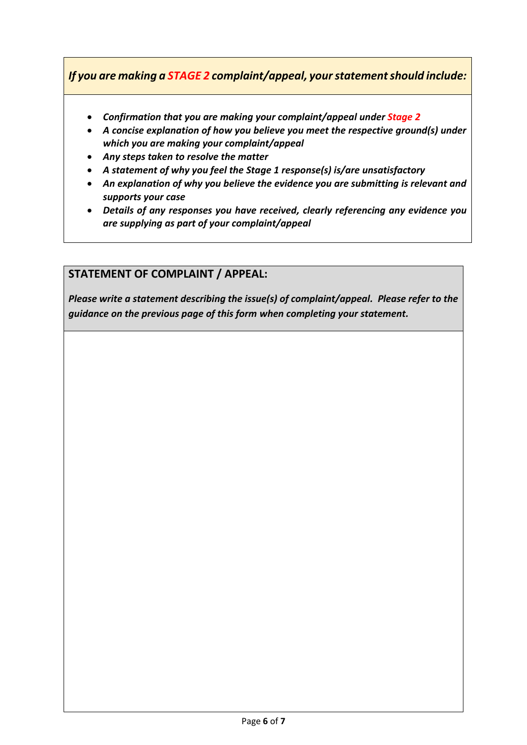*If you are making a STAGE 2 complaint/appeal, your statement should include:*

- *Confirmation that you are making your complaint/appeal under Stage 2*
- *A concise explanation of how you believe you meet the respective ground(s) under which you are making your complaint/appeal*
- *Any steps taken to resolve the matter*
- *A statement of why you feel the Stage 1 response(s) is/are unsatisfactory*
- *An explanation of why you believe the evidence you are submitting is relevant and supports your case*
- *Details of any responses you have received, clearly referencing any evidence you are supplying as part of your complaint/appeal*

## **STATEMENT OF COMPLAINT / APPEAL:**

*Please write a statement describing the issue(s) of complaint/appeal. Please refer to the guidance on the previous page of this form when completing your statement.*